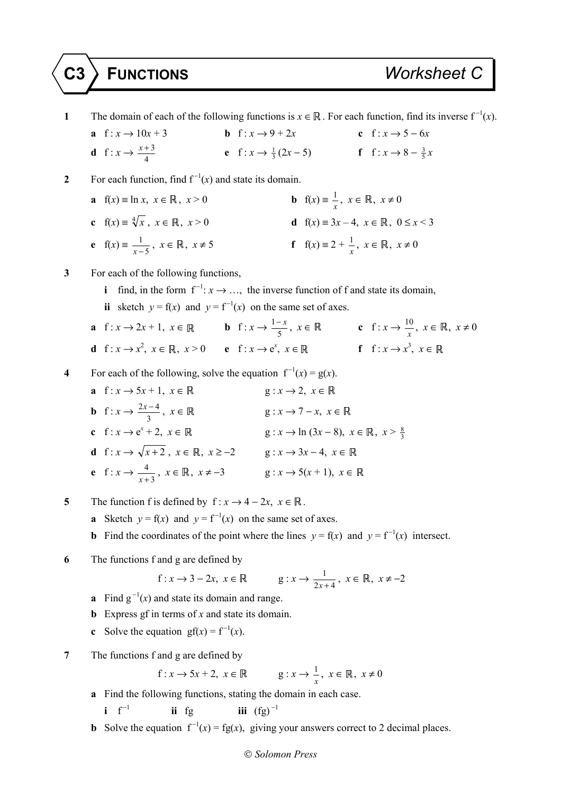**1** The domain of each of the following functions is  $x \in \mathbb{R}$ . For each function, find its inverse  $f^{-1}(x)$ . **a** f :  $x \to 10x + 3$  **b** f :  $x \to 9 + 2x$  **c** f :  $x \to 5 - 6x$ **d** f :  $x \rightarrow \frac{x+3}{4}$ 4 *x* + **e**  $f: x \to \frac{1}{3}(2x-5)$  **f**  $f: x \to 8 - \frac{3}{5}x$ **2** • For each function, find  $f^{-1}(x)$  and state its domain. **a**  $f(x) = \ln x, x \in \mathbb{R}, x > 0$  $\frac{1}{x}$ ,  $x \in \mathbb{R}$ ,  $x \neq 0$ **c**  $f(x) = \sqrt[4]{x}$ ,  $x \in \mathbb{R}$ ,  $x > 0$  **d**  $f(x) = 3x - 4$ ,  $x \in \mathbb{R}$ ,  $0 \le x < 3$ **e**  $f(x) = \frac{1}{x-5}$ ,  $x \in \mathbb{R}$ ,  $x \ne 5$  **f**  $f(x) = 2 + \frac{1}{x}$  $\frac{1}{x}$ ,  $x \in \mathbb{R}$ ,  $x \neq 0$ **3** For each of the following functions, **i** find, in the form  $f^{-1}: x \to \ldots$ , the inverse function of f and state its domain, **ii** sketch  $y = f(x)$  and  $y = f^{-1}(x)$  on the same set of axes. **a**  $f: x \to 2x + 1, x \in \mathbb{R}$  **b**  $f: x \to \frac{1}{2}$  $\frac{-x}{5}$ ,  $x \in \mathbb{R}$  **c**  $f: x \to \frac{10}{x}$ ,  $x \in \mathbb{R}$ ,  $x \neq 0$ **d** f:  $x \rightarrow x^2$ ,  $x \in \mathbb{R}$ ,  $x > 0$  **e** f:  $x \rightarrow e^x$ ,  $x \in \mathbb{R}$  **f** f:  $x \rightarrow x^3$ ,  $x \in \mathbb{R}$ **4** • For each of the following, solve the equation  $f^{-1}(x) = g(x)$ . **a** f :  $x \to 5x + 1$ ,  $x \in \mathbb{R}$  g :  $x \to 2$ ,  $x \in \mathbb{R}$ **b**  $f: x \to \frac{2x-4}{2}$ 3  $g: x \to 7-x, x \in \mathbb{R}$ **c**  $f: x \to e^x + 2, x \in \mathbb{R}$ + 2, *x* ∈ ℝ g : *x* → ln (3*x* – 8), *x* ∈ ℝ, *x* >  $\frac{8}{3}$ **d**  $f: x \to \sqrt{x+2}$ ,  $x \in \mathbb{R}, x \ge -2$  g:  $x \to 3x-4$ ,  $x \in \mathbb{R}$ **e** f : *x* →  $\frac{4}{x+3}$ , *x* ∈ ℝ, *x* ≠ −3 g : *x* → 5(*x* + 1), *x* ∈ **5** The function f is defined by  $f: x \to 4 - 2x, x \in \mathbb{R}$ . **a** Sketch  $y = f(x)$  and  $y = f^{-1}(x)$  on the same set of axes. **b** Find the coordinates of the point where the lines  $y = f(x)$  and  $y = f^{-1}(x)$  intersect. **6** The functions f and g are defined by  $f: x \to 3 - 2x, x \in \mathbb{R}$   $g: x \to \frac{1}{2x + 4}, x \in \mathbb{R}, x \neq -2$ **a** Find  $g^{-1}(x)$  and state its domain and range. **b** Express gf in terms of *x* and state its domain. **c** Solve the equation  $gf(x) = f^{-1}(x)$ . **7** The functions f and g are defined by  $f: x \rightarrow 5x + 2, x \in \mathbb{R}$ 1  $\frac{1}{x}$ ,  $x \in \mathbb{R}$ ,  $x \neq 0$ 

**a** Find the following functions, stating the domain in each case.

 $\mathbf{i} \quad \mathbf{f}^{-1}$ **ii** fg **iii**  $(fg)^{-1}$ 

**b** Solve the equation  $f^{-1}(x) = fg(x)$ , giving your answers correct to 2 decimal places.